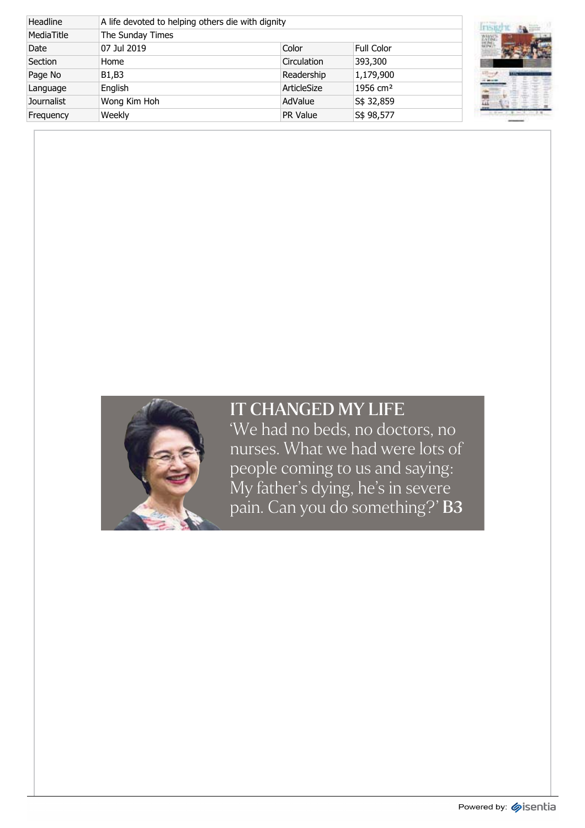| Headline          |                  | A life devoted to helping others die with dignity |                      |  |  |  |
|-------------------|------------------|---------------------------------------------------|----------------------|--|--|--|
| MediaTitle        | The Sunday Times |                                                   |                      |  |  |  |
| Date              | 07 Jul 2019      | Color                                             | <b>Full Color</b>    |  |  |  |
| Section           | Home             | Circulation                                       | 393,300              |  |  |  |
| Page No           | B1,B3            | Readership                                        | 1,179,900            |  |  |  |
| Language          | English          | ArticleSize                                       | 1956 cm <sup>2</sup> |  |  |  |
| <b>Journalist</b> | Wong Kim Hoh     | AdValue                                           | S\$ 32,859           |  |  |  |
| Frequency         | Weekly           | <b>PR Value</b>                                   | S\$ 98,577           |  |  |  |





## IT CHANGED MY LIFE

'We had no beds, no doctors, no nurses. What we had were lots of people coming to us and saying: My father's dying, he's in severe pain. Can you do something?'  $B3$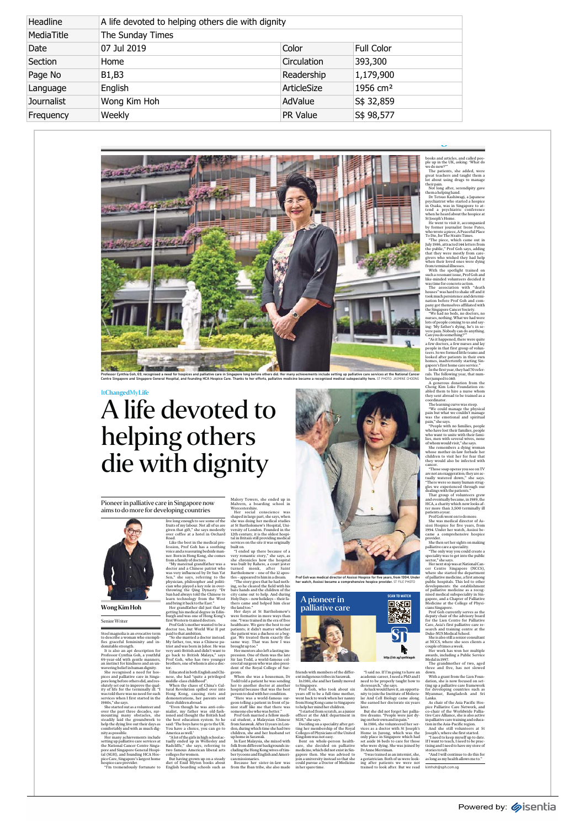| Headline          | A life devoted to helping others die with dignity |             |                      |  |  |
|-------------------|---------------------------------------------------|-------------|----------------------|--|--|
| MediaTitle        | The Sunday Times                                  |             |                      |  |  |
| Date              | 07 Jul 2019                                       | Color       | <b>Full Color</b>    |  |  |
| Section           | Home                                              | Circulation | 393,300              |  |  |
| Page No           | B1,B3                                             | Readership  | 1,179,900            |  |  |
| Language          | English                                           | ArticleSize | 1956 cm <sup>2</sup> |  |  |
| <b>Journalist</b> | Wong Kim Hoh                                      | AdValue     | S\$ 32,859           |  |  |
| Frequency         | Weekly                                            | PR Value    | S\$ 98,577           |  |  |



## ItChangedMyLife A life devoted to helping others die with dignity

Pioneer in palliative care in Singapore now aims to do more for developing countries

Wong Kim Hoh

Senior Writer

Steel magnolia is an evocativo term<br>considerate and the description of the granching in an dimensional considers<br>region for the strength description for the strength description for the<br>strength description for Professor

Malovy Towers, she eneld up in<br> $\mathbf{\hat{m}}$  and the particular sthood in the state of the state state is the state in state in the<br>state in the state in the state in the state in the state in the state in<br>the state in the s

friends with members of the differential<br>term of the differential construction in the space of the constraints<br>constrained to Shape and the final procedure of the state of the<br>space of the state of the state of the state



**Prof Goh was medical director of Assissi Hospice for five years, from 1994. Under her watch, Assissi became a comprehensive hospice provider.** ST FILE PHOTO



"I said no. If I'm going to have an according to the and the properly ranged to be properly ranged to be properly ranged to be properly and the second to be properly and the second that in the second that the last the las

 $\equiv$ 

books and articles, and called peo-<br>books and articles, and called peo-<br>book and articles, and and are the peir in the UK, as<br>kings: What do the peir in the UK, as in the peace of the peir<br>denta stage of manage of manage

people in that first group of volument<br>people in that first group of voluments in their own<br>homes, inadvertently starting Sin-<br>homes, inadvertently starting Sin-<br>homes, inadvertently starting Sin-<br>In the first year, they h

coordinator.<br>The learning curve was steep.<br>
"We could manage the physical<br>pain but what we couldn't manage<br>pain,"shesays.<br>
We emotional and spiritual<br>
"People with no families, people<br>
who have lost ther framilies, people<br>

She remembers a dying woman<br>s and the consideration of the consideration of the considered the<br>dislocation of the consideration of the constraints are more associated<br>by would also be infered with they would also be infer

Care, Asia's first pulliative care re-<br>care-scale starting centre at the search and training centre at the<br>blue-NUS Medicial School, consultant and NGCs, where subsets concelled<br>fitness avec then search and NGCs where sub

pice Palliative Care Network, and<br>pice Palliative Care Network, and<br>tive Care Alliance, she is also active<br>in palliative care training and education in the Asia-Pacific region.<br>And she still volunteers at Still contrasts<br>a

"And I will continue to do this for as long as my health allows me to."

kimhoh@sph.com.sg



live long neongh to ses some of the sesson and the session of the session for the session for the session served that  $\hat{H}$ ; the session for the session for the session for the session for the session for the session for